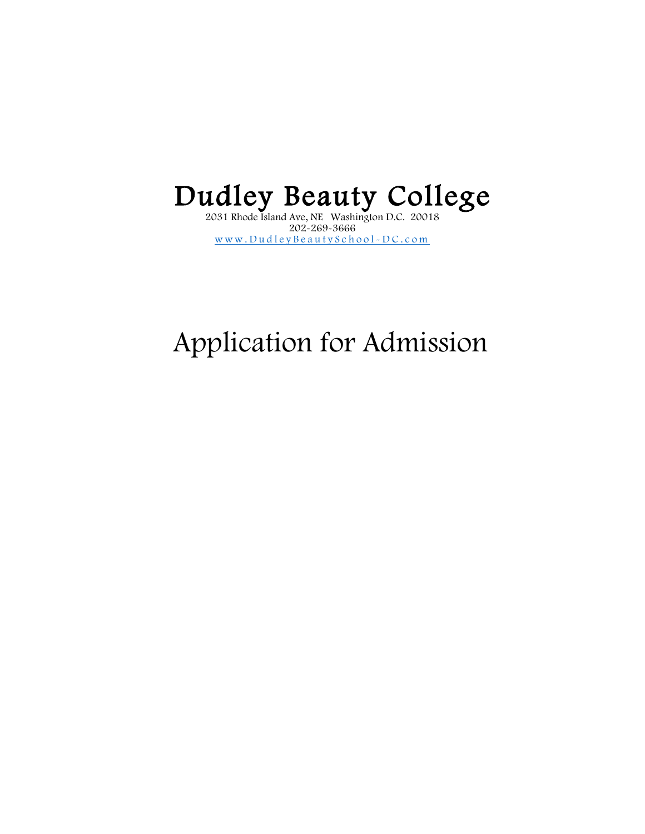## $\bf Dualley\, Beauty\, Colle ge$

202-269-3666 [www.DudleyBeautySchool](http://www.dudleybeautyschool-dc.com/) - DC.com

## Application for Admission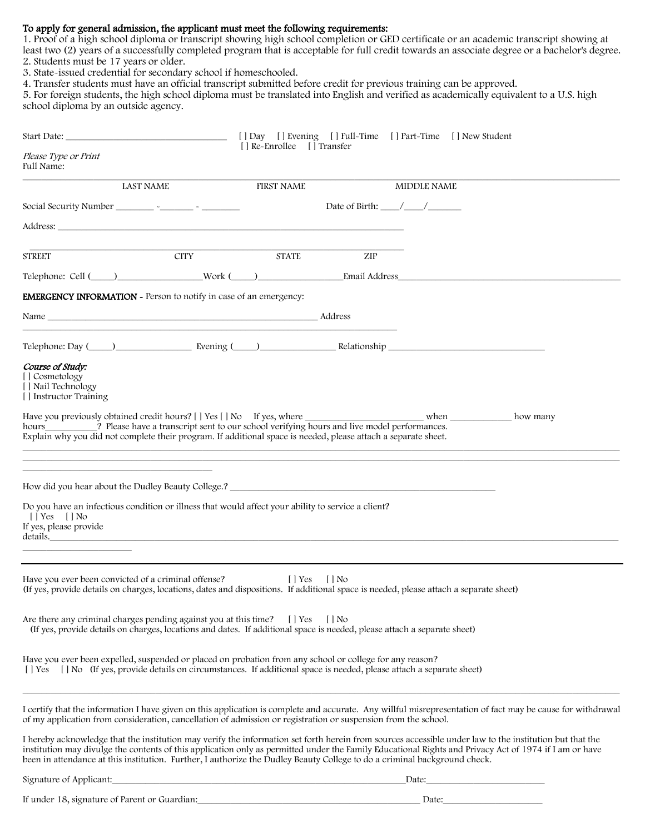## To apply for general admission, the applicant must meet the following requirements:

1. Proof of a high school diploma or transcript showing high school completion or GED certificate or an academic transcript showing at least two (2) years of a successfully completed program that is acceptable for full credit towards an associate degree or a bachelor's degree. 2. Students must be 17 years or older.

3. State-issued credential for secondary school if homeschooled.

4. Transfer students must have an official transcript submitted before credit for previous training can be approved.

5. For foreign students, the high school diploma must be translated into English and verified as academically equivalent to a U.S. high school diploma by an outside agency.

|                                                                                                                                                                                                                               |                                                                                                                      |             | [] Day [] Evening [] Full-Time [] Part-Time [] New Student<br>[ ] Re-Enrollee [ ] Transfer |     |                                                                                                                                                                                                                                |                                                                                                                                                                                                                                                                                                                   |
|-------------------------------------------------------------------------------------------------------------------------------------------------------------------------------------------------------------------------------|----------------------------------------------------------------------------------------------------------------------|-------------|--------------------------------------------------------------------------------------------|-----|--------------------------------------------------------------------------------------------------------------------------------------------------------------------------------------------------------------------------------|-------------------------------------------------------------------------------------------------------------------------------------------------------------------------------------------------------------------------------------------------------------------------------------------------------------------|
| Please Type or Print<br>Full Name:                                                                                                                                                                                            |                                                                                                                      |             |                                                                                            |     |                                                                                                                                                                                                                                |                                                                                                                                                                                                                                                                                                                   |
|                                                                                                                                                                                                                               | <b>LAST NAME</b>                                                                                                     |             | <b>FIRST NAME</b>                                                                          |     | MIDDLE NAME                                                                                                                                                                                                                    |                                                                                                                                                                                                                                                                                                                   |
|                                                                                                                                                                                                                               |                                                                                                                      |             |                                                                                            |     | Date of Birth: $\frac{\sqrt{2}}{2}$                                                                                                                                                                                            |                                                                                                                                                                                                                                                                                                                   |
|                                                                                                                                                                                                                               |                                                                                                                      |             |                                                                                            |     |                                                                                                                                                                                                                                |                                                                                                                                                                                                                                                                                                                   |
| <b>STREET</b>                                                                                                                                                                                                                 |                                                                                                                      | <b>CITY</b> | <b>STATE</b>                                                                               | ZIP |                                                                                                                                                                                                                                |                                                                                                                                                                                                                                                                                                                   |
|                                                                                                                                                                                                                               |                                                                                                                      |             |                                                                                            |     |                                                                                                                                                                                                                                | Telephone: Cell ( ) Work ( ) Email Address                                                                                                                                                                                                                                                                        |
| <b>EMERGENCY INFORMATION</b> - Person to notify in case of an emergency:                                                                                                                                                      |                                                                                                                      |             |                                                                                            |     |                                                                                                                                                                                                                                |                                                                                                                                                                                                                                                                                                                   |
|                                                                                                                                                                                                                               |                                                                                                                      |             |                                                                                            |     |                                                                                                                                                                                                                                |                                                                                                                                                                                                                                                                                                                   |
|                                                                                                                                                                                                                               |                                                                                                                      |             |                                                                                            |     | Telephone: Day (Channel Communication Channel Communication Channel Channel Channel Channel Channel Channel Channel Channel Channel Channel Channel Channel Channel Channel Channel Channel Channel Channel Channel Channel Ch |                                                                                                                                                                                                                                                                                                                   |
| Course of Study:<br>[ ] Cosmetology<br>[ ] Nail Technology<br>[ ] Instructor Training                                                                                                                                         |                                                                                                                      |             |                                                                                            |     |                                                                                                                                                                                                                                |                                                                                                                                                                                                                                                                                                                   |
| hours____________? Please have a transcript sent to our school verifying hours and live model performances.<br>Explain why you did not complete their program. If additional space is needed, please attach a separate sheet. |                                                                                                                      |             |                                                                                            |     | Have you previously obtained credit hours? [ ] Yes [ ] No If yes, where ___________________________ when _____________ how many                                                                                                |                                                                                                                                                                                                                                                                                                                   |
|                                                                                                                                                                                                                               | <u> 1989 - Johann John Stein, markin film ar yn y brenin y brenin y brenin y brenin y brenin y brenin y brenin y</u> |             |                                                                                            |     | How did you hear about the Dudley Beauty College.? ______________________________                                                                                                                                              |                                                                                                                                                                                                                                                                                                                   |
| Do you have an infectious condition or illness that would affect your ability to service a client?<br>$[$   Yes $[$   No<br>If yes, please provide                                                                            |                                                                                                                      |             |                                                                                            |     | details. The contract of the contract of the contract of the contract of the contract of the contract of the contract of the contract of the contract of the contract of the contract of the contract of the contract of the c |                                                                                                                                                                                                                                                                                                                   |
| Have you ever been convicted of a criminal offense?                                                                                                                                                                           |                                                                                                                      |             | $[$   Yes $[$   No                                                                         |     | (If yes, provide details on charges, locations, dates and dispositions. If additional space is needed, please attach a separate sheet)                                                                                         |                                                                                                                                                                                                                                                                                                                   |
| Are there any criminal charges pending against you at this time? [] Yes [] No                                                                                                                                                 |                                                                                                                      |             |                                                                                            |     | (If yes, provide details on charges, locations and dates. If additional space is needed, please attach a separate sheet)                                                                                                       |                                                                                                                                                                                                                                                                                                                   |
| Have you ever been expelled, suspended or placed on probation from any school or college for any reason?                                                                                                                      |                                                                                                                      |             |                                                                                            |     |                                                                                                                                                                                                                                |                                                                                                                                                                                                                                                                                                                   |
| of my application from consideration, cancellation of admission or registration or suspension from the school.                                                                                                                |                                                                                                                      |             |                                                                                            |     |                                                                                                                                                                                                                                | I certify that the information I have given on this application is complete and accurate. Any willful misrepresentation of fact may be cause for withdrawal                                                                                                                                                       |
|                                                                                                                                                                                                                               |                                                                                                                      |             |                                                                                            |     | been in attendance at this institution. Further, I authorize the Dudley Beauty College to do a criminal background check.                                                                                                      | I hereby acknowledge that the institution may verify the information set forth herein from sources accessible under law to the institution but that the<br>institution may divulge the contents of this application only as permitted under the Family Educational Rights and Privacy Act of 1974 if I am or have |
|                                                                                                                                                                                                                               |                                                                                                                      |             |                                                                                            |     |                                                                                                                                                                                                                                |                                                                                                                                                                                                                                                                                                                   |
| If under 18, signature of Parent or Guardian: __________________________________                                                                                                                                              |                                                                                                                      |             |                                                                                            |     |                                                                                                                                                                                                                                |                                                                                                                                                                                                                                                                                                                   |